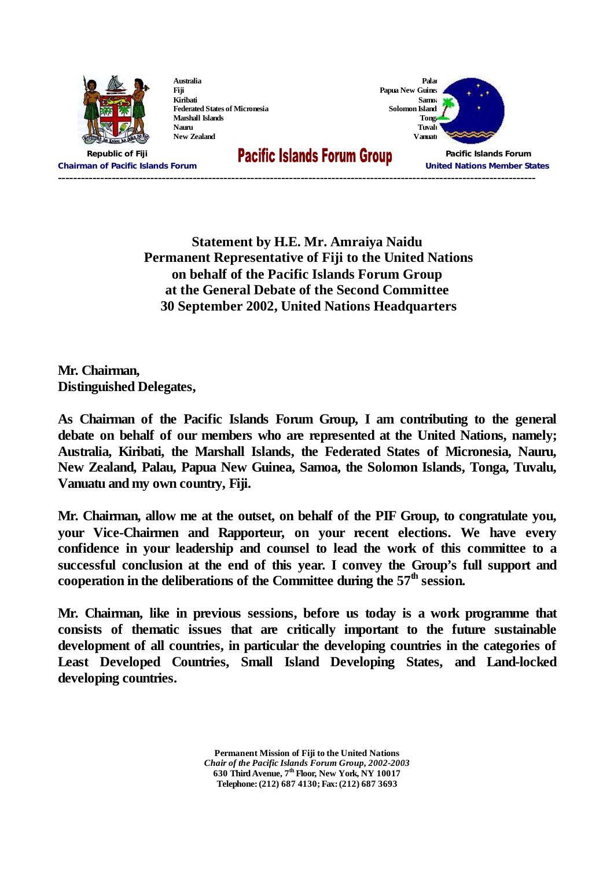

**Australia Fiji Kiribati Federated States of Micronesia Marshall Islands Nauru New Zealand**



**Chairman of Pacific Islands Forum United Nations Member States ----------------------------------------------------------------------------------------------------------------------------**

**Republic of Fiji Pacific Islands Forum**

**Statement by H.E. Mr. Amraiya Naidu Permanent Representative of Fiji to the United Nations on behalf of the Pacific Islands Forum Group at the General Debate of the Second Committee 30 September 2002, United Nations Headquarters**

**Mr. Chairman, Distinguished Delegates,**

**As Chairman of the Pacific Islands Forum Group, I am contributing to the general debate on behalf of our members who are represented at the United Nations, namely; Australia, Kiribati, the Marshall Islands, the Federated States of Micronesia, Nauru, New Zealand, Palau, Papua New Guinea, Samoa, the Solomon Islands, Tonga, Tuvalu, Vanuatu and my own country, Fiji.**

**Mr. Chairman, allow me at the outset, on behalf of the PIF Group, to congratulate you, your Vice-Chairmen and Rapporteur, on your recent elections. We have every confidence in your leadership and counsel to lead the work of this committee to a successful conclusion at the end of this year. I convey the Group's full support and cooperation in the deliberations of the Committee during the 57 th session.**

**Mr. Chairman, like in previous sessions, before us today is a work programme that consists of thematic issues that are critically important to the future sustainable development of all countries, in particular the developing countries in the categories of Least Developed Countries, Small Island Developing States, and Land-locked developing countries.**

> **Permanent Mission of Fiji to the United Nations** *Chair of the Pacific Islands Forum Group, 2002-2003* **630 Third Avenue, 7 th Floor, New York, NY 10017 Telephone: (212) 687 4130; Fax: (212) 687 3693**